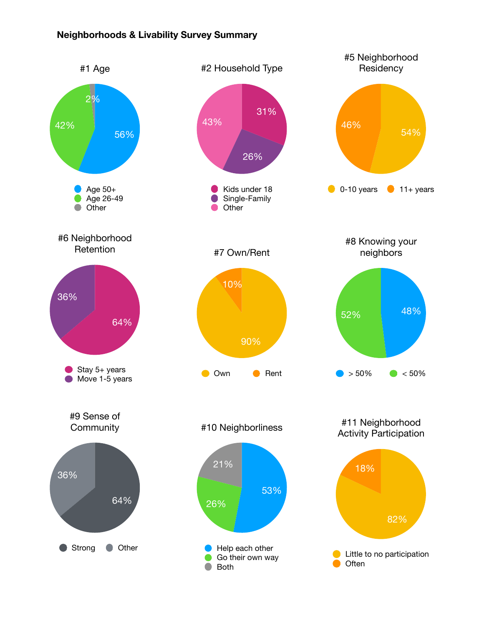## **Neighborhoods & Livability Survey Summary**

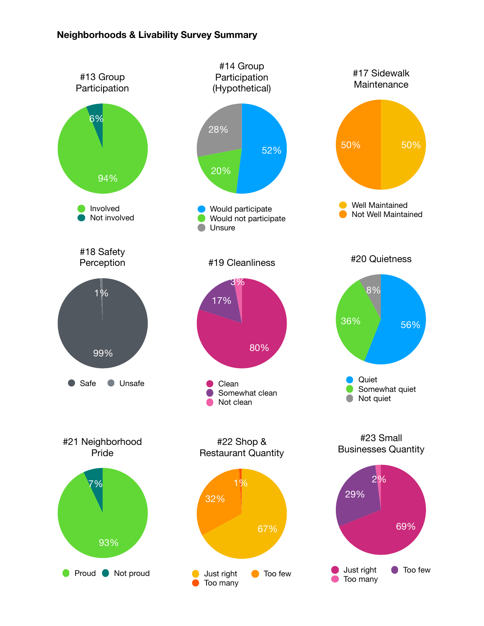## **Neighborhoods & Livability Survey Summary**